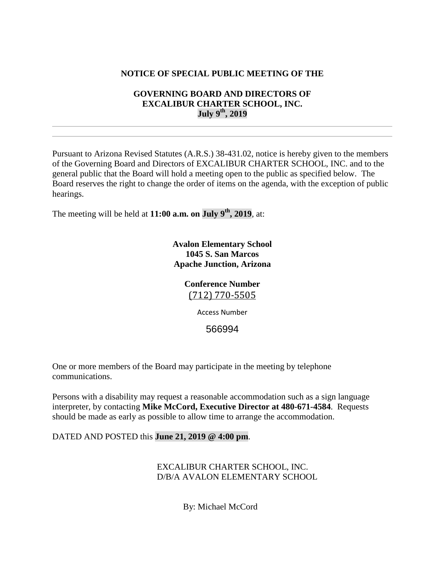# **NOTICE OF SPECIAL PUBLIC MEETING OF THE**

# **GOVERNING BOARD AND DIRECTORS OF EXCALIBUR CHARTER SCHOOL, INC. July 9th, 2019**

Pursuant to Arizona Revised Statutes (A.R.S.) 38-431.02, notice is hereby given to the members of the Governing Board and Directors of EXCALIBUR CHARTER SCHOOL, INC. and to the general public that the Board will hold a meeting open to the public as specified below. The Board reserves the right to change the order of items on the agenda, with the exception of public hearings.

The meeting will be held at **11:00 a.m. on July 9th, 2019**, at:

**Avalon Elementary School 1045 S. San Marcos Apache Junction, Arizona**

# **Conference Number** [\(712\) 770-5505](tel:(712)%20770-5505)

Access Number

566994

One or more members of the Board may participate in the meeting by telephone communications.

Persons with a disability may request a reasonable accommodation such as a sign language interpreter, by contacting **Mike McCord, Executive Director at 480-671-4584**. Requests should be made as early as possible to allow time to arrange the accommodation.

DATED AND POSTED this **June 21, 2019 @ 4:00 pm**.

EXCALIBUR CHARTER SCHOOL, INC. D/B/A AVALON ELEMENTARY SCHOOL

By: Michael McCord